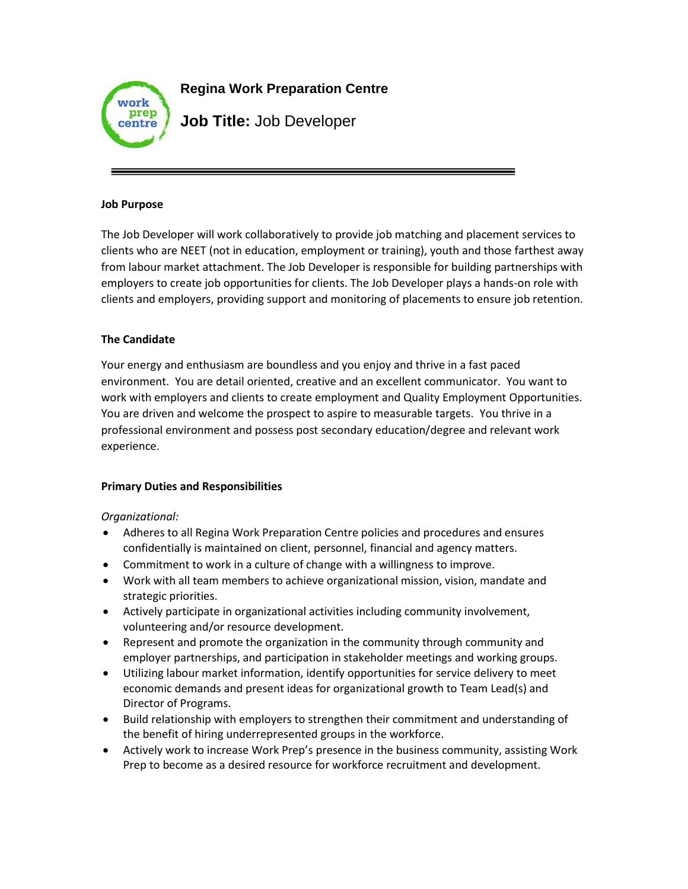

**Regina Work Preparation Centre** 

**Job Title:** Job Developer

#### **Job Purpose**

The Job Developer will work collaboratively to provide job matching and placement services to clients who are NEET (not in education, employment or training), youth and those farthest away from labour market attachment. The Job Developer is responsible for building partnerships with employers to create job opportunities for clients. The Job Developer plays a hands-on role with clients and employers, providing support and monitoring of placements to ensure job retention.

# **The Candidate**

Your energy and enthusiasm are boundless and you enjoy and thrive in a fast paced environment. You are detail oriented, creative and an excellent communicator. You want to work with employers and clients to create employment and Quality Employment Opportunities. You are driven and welcome the prospect to aspire to measurable targets. You thrive in a professional environment and possess post secondary education/degree and relevant work experience.

# **Primary Duties and Responsibilities**

# *Organizational:*

- Adheres to all Regina Work Preparation Centre policies and procedures and ensures confidentially is maintained on client, personnel, financial and agency matters.
- Commitment to work in a culture of change with a willingness to improve.
- Work with all team members to achieve organizational mission, vision, mandate and strategic priorities.
- Actively participate in organizational activities including community involvement, volunteering and/or resource development.
- Represent and promote the organization in the community through community and employer partnerships, and participation in stakeholder meetings and working groups.
- Utilizing labour market information, identify opportunities for service delivery to meet economic demands and present ideas for organizational growth to Team Lead(s) and Director of Programs.
- Build relationship with employers to strengthen their commitment and understanding of the benefit of hiring underrepresented groups in the workforce.
- Actively work to increase Work Prep's presence in the business community, assisting Work Prep to become as a desired resource for workforce recruitment and development.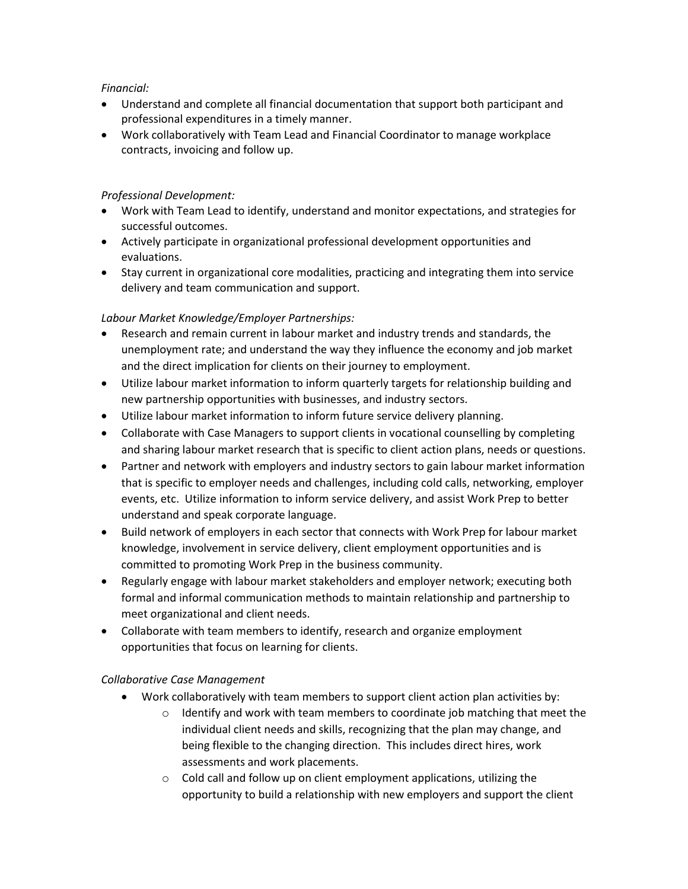## *Financial:*

- Understand and complete all financial documentation that support both participant and professional expenditures in a timely manner.
- Work collaboratively with Team Lead and Financial Coordinator to manage workplace contracts, invoicing and follow up.

## *Professional Development:*

- Work with Team Lead to identify, understand and monitor expectations, and strategies for successful outcomes.
- Actively participate in organizational professional development opportunities and evaluations.
- Stay current in organizational core modalities, practicing and integrating them into service delivery and team communication and support.

## *Labour Market Knowledge/Employer Partnerships:*

- Research and remain current in labour market and industry trends and standards, the unemployment rate; and understand the way they influence the economy and job market and the direct implication for clients on their journey to employment.
- Utilize labour market information to inform quarterly targets for relationship building and new partnership opportunities with businesses, and industry sectors.
- Utilize labour market information to inform future service delivery planning.
- Collaborate with Case Managers to support clients in vocational counselling by completing and sharing labour market research that is specific to client action plans, needs or questions.
- Partner and network with employers and industry sectors to gain labour market information that is specific to employer needs and challenges, including cold calls, networking, employer events, etc. Utilize information to inform service delivery, and assist Work Prep to better understand and speak corporate language.
- Build network of employers in each sector that connects with Work Prep for labour market knowledge, involvement in service delivery, client employment opportunities and is committed to promoting Work Prep in the business community.
- Regularly engage with labour market stakeholders and employer network; executing both formal and informal communication methods to maintain relationship and partnership to meet organizational and client needs.
- Collaborate with team members to identify, research and organize employment opportunities that focus on learning for clients.

#### *Collaborative Case Management*

- Work collaboratively with team members to support client action plan activities by:
	- $\circ$  Identify and work with team members to coordinate job matching that meet the individual client needs and skills, recognizing that the plan may change, and being flexible to the changing direction. This includes direct hires, work assessments and work placements.
	- o Cold call and follow up on client employment applications, utilizing the opportunity to build a relationship with new employers and support the client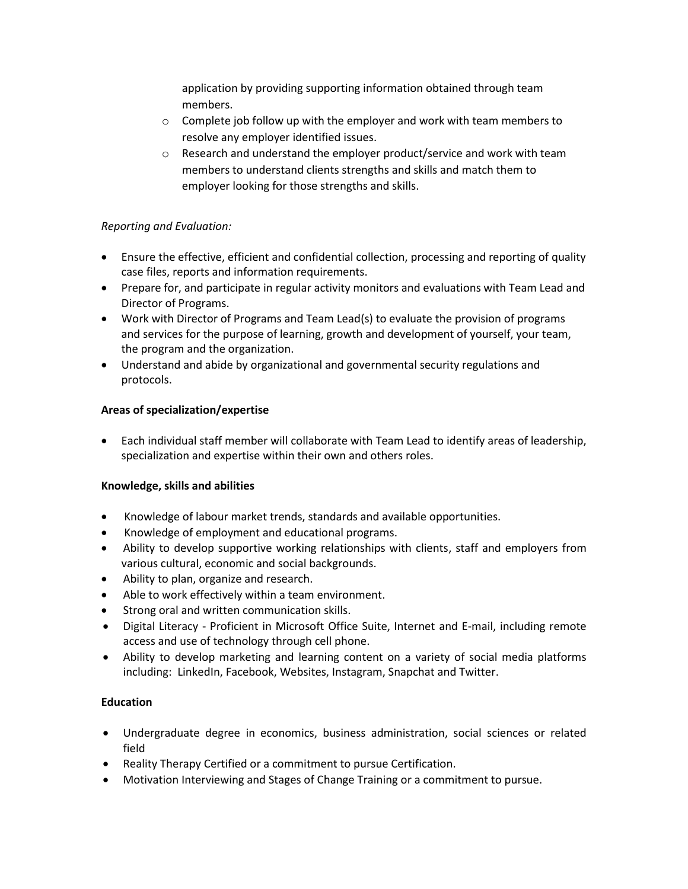application by providing supporting information obtained through team members.

- $\circ$  Complete job follow up with the employer and work with team members to resolve any employer identified issues.
- $\circ$  Research and understand the employer product/service and work with team members to understand clients strengths and skills and match them to employer looking for those strengths and skills.

# *Reporting and Evaluation:*

- Ensure the effective, efficient and confidential collection, processing and reporting of quality case files, reports and information requirements.
- Prepare for, and participate in regular activity monitors and evaluations with Team Lead and Director of Programs.
- Work with Director of Programs and Team Lead(s) to evaluate the provision of programs and services for the purpose of learning, growth and development of yourself, your team, the program and the organization.
- Understand and abide by organizational and governmental security regulations and protocols.

## **Areas of specialization/expertise**

 Each individual staff member will collaborate with Team Lead to identify areas of leadership, specialization and expertise within their own and others roles.

#### **Knowledge, skills and abilities**

- Knowledge of labour market trends, standards and available opportunities.
- Knowledge of employment and educational programs.
- Ability to develop supportive working relationships with clients, staff and employers from various cultural, economic and social backgrounds.
- Ability to plan, organize and research.
- Able to work effectively within a team environment.
- Strong oral and written communication skills.
- Digital Literacy Proficient in Microsoft Office Suite, Internet and E-mail, including remote access and use of technology through cell phone.
- Ability to develop marketing and learning content on a variety of social media platforms including: LinkedIn, Facebook, Websites, Instagram, Snapchat and Twitter.

#### **Education**

- Undergraduate degree in economics, business administration, social sciences or related field
- Reality Therapy Certified or a commitment to pursue Certification.
- Motivation Interviewing and Stages of Change Training or a commitment to pursue.